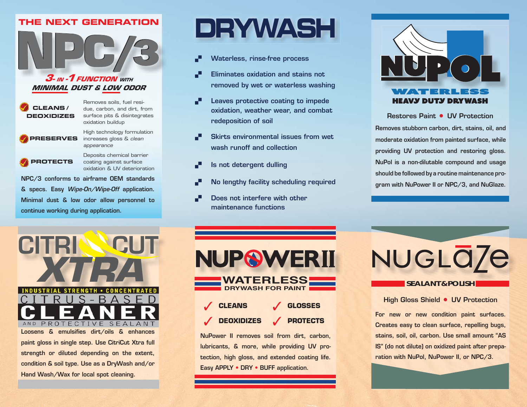

### *3- IN -1 FUNCTION WITH MINIMAL DUST & LOW ODOR*



Removes soils, fuel residue, carbon, and dirt, from surface pits & disintegrates oxidation buildup

**PRESERVES**increases gloss & clean High technology formulation appearance

 **PROTECTS**

Deposits chemical barrier coating against surface oxidation & UV deterioration

**NPC/3 conforms to airframe OEM standards & specs. Easy Wipe-On/Wipe-Off application. Minimal dust & low odor allow personnel to continue working during application.**

## THE NEXT GENERATION DRYWASH

- **Waterless, rinse-free process**
- **Eliminates oxidation and stains not removed by wet or waterless washing**
- **Leaves protective coating to impede oxidation, weather wear, and combat redeposition of soil**
- **Skirts environmental issues from wet wash runoff and collection**
- **Is not detergent dulling**
- **No lengthy facility scheduling required**
- **Does not interfere with other maintenance functions**



**Removes stubborn carbon, dirt, stains, oil, and moderate oxidation from painted surface, while providing UV protection and restoring gloss. NuPol is a non-dilutable compound and usage should be followed by a routine maintenance program with NuPower II or NPC/3, and NuGlaze. Restores Paint UV Protection**



**Hand Wash/Wax for local spot cleaning.**

**NUPOWERII WATERLESS**

**DRYWASH FOR PAINT** 



**NuPower II removes soil from dirt, carbon, lubricants, & more, while providing UV protection, high gloss, and extended coating life. Easy APPLY • DRY • BUFF application.**

# NUGLa7e

### **SEALANT & POLISH**

**High Gloss Shield UV Protection**

**For new or new condition paint surfaces. Creates easy to clean surface, repelling bugs, stains, soil, oil, carbon. Use small amount "AS IS" (do not dilute) on oxidized paint after preparation with NuPol, NuPower II, or NPC/3.**